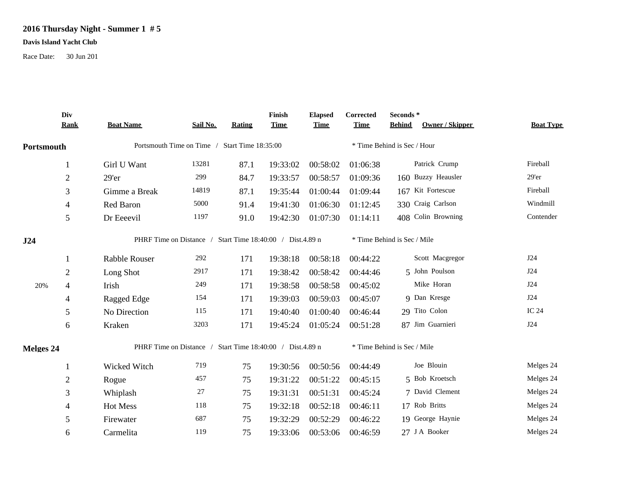## **2016 Thursday Night - Summer 1 # 5**

## **Davis Island Yacht Club**

Race Date: 30 Jun 201

|            | Div            |                      |                                                           |        | Finish      | <b>Elapsed</b> | Corrected   | Seconds *                        |                  |
|------------|----------------|----------------------|-----------------------------------------------------------|--------|-------------|----------------|-------------|----------------------------------|------------------|
|            | <b>Rank</b>    | <b>Boat Name</b>     | Sail No.                                                  | Rating | <b>Time</b> | <b>Time</b>    | <b>Time</b> | Owner / Skipper<br><b>Behind</b> | <b>Boat Type</b> |
| Portsmouth |                |                      | Portsmouth Time on Time / Start Time 18:35:00             |        |             |                |             | * Time Behind is Sec / Hour      |                  |
|            | 1              | Girl U Want          | 13281                                                     | 87.1   | 19:33:02    | 00:58:02       | 01:06:38    | Patrick Crump                    | Fireball         |
|            | $\sqrt{2}$     | 29'er                | 299                                                       | 84.7   | 19:33:57    | 00:58:57       | 01:09:36    | 160 Buzzy Heausler               | $29'$ er         |
|            | $\mathfrak{Z}$ | Gimme a Break        | 14819                                                     | 87.1   | 19:35:44    | 01:00:44       | 01:09:44    | 167 Kit Fortescue                | Fireball         |
|            | $\overline{4}$ | Red Baron            | 5000                                                      | 91.4   | 19:41:30    | 01:06:30       | 01:12:45    | 330 Craig Carlson                | Windmill         |
|            | 5              | Dr Eeeevil           | 1197                                                      | 91.0   | 19:42:30    | 01:07:30       | 01:14:11    | 408 Colin Browning               | Contender        |
| J24        |                |                      | PHRF Time on Distance / Start Time 18:40:00 / Dist.4.89 n |        |             |                |             | * Time Behind is Sec / Mile      |                  |
|            | 1              | <b>Rabble Rouser</b> | 292                                                       | 171    | 19:38:18    | 00:58:18       | 00:44:22    | Scott Macgregor                  | J24              |
|            | $\mathbf{2}$   | Long Shot            | 2917                                                      | 171    | 19:38:42    | 00:58:42       | 00:44:46    | 5 John Poulson                   | J24              |
| 20%        | 4              | Irish                | 249                                                       | 171    | 19:38:58    | 00:58:58       | 00:45:02    | Mike Horan                       | J24              |
|            | 4              | Ragged Edge          | 154                                                       | 171    | 19:39:03    | 00:59:03       | 00:45:07    | 9 Dan Kresge                     | J24              |
|            | 5              | No Direction         | 115                                                       | 171    | 19:40:40    | 01:00:40       | 00:46:44    | 29 Tito Colon                    | <b>IC 24</b>     |
|            | 6              | Kraken               | 3203                                                      | 171    | 19:45:24    | 01:05:24       | 00:51:28    | 87 Jim Guarnieri                 | J24              |
| Melges 24  |                |                      | PHRF Time on Distance / Start Time 18:40:00 / Dist.4.89 n |        |             |                |             | * Time Behind is Sec / Mile      |                  |
|            | 1              | Wicked Witch         | 719                                                       | 75     | 19:30:56    | 00:50:56       | 00:44:49    | Joe Blouin                       | Melges 24        |
|            | $\mathbf{2}$   | Rogue                | 457                                                       | 75     | 19:31:22    | 00:51:22       | 00:45:15    | 5 Bob Kroetsch                   | Melges 24        |
|            | 3              | Whiplash             | 27                                                        | 75     | 19:31:31    | 00:51:31       | 00:45:24    | 7 David Clement                  | Melges 24        |
|            | 4              | Hot Mess             | 118                                                       | 75     | 19:32:18    | 00:52:18       | 00:46:11    | 17 Rob Britts                    | Melges 24        |
|            | 5              | Firewater            | 687                                                       | 75     | 19:32:29    | 00:52:29       | 00:46:22    | 19 George Haynie                 | Melges 24        |
|            | 6              | Carmelita            | 119                                                       | 75     | 19:33:06    | 00:53:06       | 00:46:59    | 27 J A Booker                    | Melges 24        |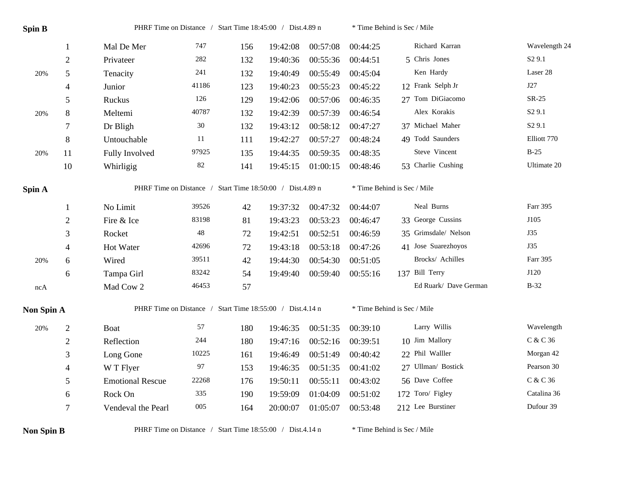| <b>Spin B</b>     |                          |                                                           | PHRF Time on Distance / Start Time 18:45:00 / Dist.4.89 n |     |          |          |                             | * Time Behind is Sec / Mile |                    |  |
|-------------------|--------------------------|-----------------------------------------------------------|-----------------------------------------------------------|-----|----------|----------|-----------------------------|-----------------------------|--------------------|--|
|                   | $\mathbf{1}$             | Mal De Mer                                                | 747                                                       | 156 | 19:42:08 | 00:57:08 | 00:44:25                    | Richard Karran              | Wavelength 24      |  |
|                   | $\mathfrak{2}$           | Privateer                                                 | 282                                                       | 132 | 19:40:36 | 00:55:36 | 00:44:51                    | 5 Chris Jones               | S <sub>2</sub> 9.1 |  |
| 20%               | 5                        | Tenacity                                                  | 241                                                       | 132 | 19:40:49 | 00:55:49 | 00:45:04                    | Ken Hardy                   | Laser 28           |  |
|                   | $\overline{4}$           | Junior                                                    | 41186                                                     | 123 | 19:40:23 | 00:55:23 | 00:45:22                    | 12 Frank Selph Jr           | J27                |  |
|                   | 5                        | Ruckus                                                    | 126                                                       | 129 | 19:42:06 | 00:57:06 | 00:46:35                    | 27 Tom DiGiacomo            | SR-25              |  |
| 20%               | $8\,$                    | Meltemi                                                   | 40787                                                     | 132 | 19:42:39 | 00:57:39 | 00:46:54                    | Alex Korakis                | S <sub>2</sub> 9.1 |  |
|                   | $\tau$                   | Dr Bligh                                                  | 30                                                        | 132 | 19:43:12 | 00:58:12 | 00:47:27                    | 37 Michael Maher            | S <sub>2</sub> 9.1 |  |
|                   | $\,8\,$                  | Untouchable                                               | 11                                                        | 111 | 19:42:27 | 00:57:27 | 00:48:24                    | 49 Todd Saunders            | Elliott 770        |  |
| 20%               | 11                       | Fully Involved                                            | 97925                                                     | 135 | 19:44:35 | 00:59:35 | 00:48:35                    | Steve Vincent               | $B-25$             |  |
|                   | 10                       | Whirligig                                                 | 82                                                        | 141 | 19:45:15 | 01:00:15 | 00:48:46                    | 53 Charlie Cushing          | Ultimate 20        |  |
| Spin A            |                          |                                                           | PHRF Time on Distance / Start Time 18:50:00 / Dist.4.89 n |     |          |          |                             | * Time Behind is Sec / Mile |                    |  |
|                   | 1                        | No Limit                                                  | 39526                                                     | 42  | 19:37:32 | 00:47:32 | 00:44:07                    | Neal Burns                  | Farr 395           |  |
|                   | $\overline{2}$           | Fire & Ice                                                | 83198                                                     | 81  | 19:43:23 | 00:53:23 | 00:46:47                    | 33 George Cussins           | J105               |  |
|                   | 3                        | Rocket                                                    | 48                                                        | 72  | 19:42:51 | 00:52:51 | 00:46:59                    | 35 Grimsdale/ Nelson        | <b>J35</b>         |  |
|                   | $\overline{\mathcal{A}}$ | Hot Water                                                 | 42696                                                     | 72  | 19:43:18 | 00:53:18 | 00:47:26                    | 41 Jose Suarezhoyos         | <b>J35</b>         |  |
| 20%               | 6                        | Wired                                                     | 39511                                                     | 42  | 19:44:30 | 00:54:30 | 00:51:05                    | Brocks/ Achilles            | Farr 395           |  |
|                   | 6                        | Tampa Girl                                                | 83242                                                     | 54  | 19:49:40 | 00:59:40 | 00:55:16                    | 137 Bill Terry              | J120               |  |
| ncA               |                          | Mad Cow 2                                                 | 46453                                                     | 57  |          |          |                             | Ed Ruark/ Dave German       | $B-32$             |  |
| <b>Non Spin A</b> |                          | PHRF Time on Distance / Start Time 18:55:00 / Dist.4.14 n |                                                           |     |          |          | * Time Behind is Sec / Mile |                             |                    |  |
| $20\%$            | $\boldsymbol{2}$         | <b>Boat</b>                                               | 57                                                        | 180 | 19:46:35 | 00:51:35 | 00:39:10                    | Larry Willis                | Wavelength         |  |
|                   | $\boldsymbol{2}$         | Reflection                                                | 244                                                       | 180 | 19:47:16 | 00:52:16 | 00:39:51                    | 10 Jim Mallory              | C & C 36           |  |
|                   | 3                        | Long Gone                                                 | 10225                                                     | 161 | 19:46:49 | 00:51:49 | 00:40:42                    | 22 Phil Walller             | Morgan 42          |  |
|                   | 4                        | W T Flyer                                                 | 97                                                        | 153 | 19:46:35 | 00:51:35 | 00:41:02                    | 27 Ullman/ Bostick          | Pearson 30         |  |
|                   | 5                        | <b>Emotional Rescue</b>                                   | 22268                                                     | 176 | 19:50:11 | 00:55:11 | 00:43:02                    | 56 Dave Coffee              | C & C 36           |  |
|                   | 6                        | Rock On                                                   | 335                                                       | 190 | 19:59:09 | 01:04:09 | 00:51:02                    | 172 Toro/ Figley            | Catalina 36        |  |
|                   | $\tau$                   | Vendeval the Pearl                                        | 005                                                       | 164 | 20:00:07 | 01:05:07 | 00:53:48                    | 212 Lee Burstiner           | Dufour 39          |  |

**Non Spin B** PHRF Time on Distance / Start Time 18:55:00 / Dist.4.14 n \* Time Behind is Sec / Mile